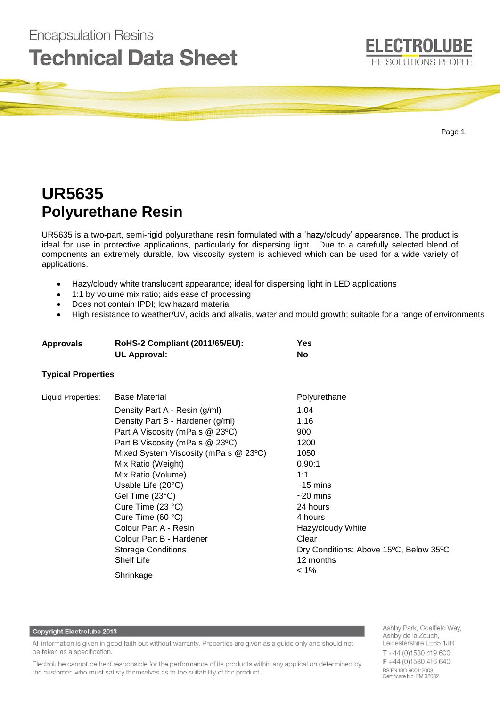# **Encapsulation Resins Technical Data Sheet**



Page 1

# **UR5635 Polyurethane Resin**

UR5635 is a two-part, semi-rigid polyurethane resin formulated with a 'hazy/cloudy' appearance. The product is ideal for use in protective applications, particularly for dispersing light. Due to a carefully selected blend of components an extremely durable, low viscosity system is achieved which can be used for a wide variety of applications.

- Hazy/cloudy white translucent appearance; ideal for dispersing light in LED applications
- 1:1 by volume mix ratio; aids ease of processing
- Does not contain IPDI; low hazard material
- High resistance to weather/UV, acids and alkalis, water and mould growth; suitable for a range of environments

| <b>Approvals</b> | <b>RoHS-2 Compliant (2011/65/EU):</b> | <b>Yes</b> |
|------------------|---------------------------------------|------------|
|                  | UL Approval:                          | No         |

### **Typical Properties**

| Liquid Properties: | <b>Base Material</b>                  | Polyurethane                           |
|--------------------|---------------------------------------|----------------------------------------|
|                    | Density Part A - Resin (g/ml)         | 1.04                                   |
|                    | Density Part B - Hardener (g/ml)      | 1.16                                   |
|                    | Part A Viscosity (mPa s @ 23°C)       | 900                                    |
|                    | Part B Viscosity (mPa s @ 23°C)       | 1200                                   |
|                    | Mixed System Viscosity (mPa s @ 23°C) | 1050                                   |
|                    | Mix Ratio (Weight)                    | 0.90:1                                 |
|                    | Mix Ratio (Volume)                    | 1:1                                    |
|                    | Usable Life (20°C)                    | $~15 \; \mathrm{mins}$                 |
|                    | Gel Time (23°C)                       | $~20 \text{ mins}$                     |
|                    | Cure Time (23 °C)                     | 24 hours                               |
|                    | Cure Time (60 $°C$ )                  | 4 hours                                |
|                    | Colour Part A - Resin                 | Hazy/cloudy White                      |
|                    | Colour Part B - Hardener              | Clear                                  |
|                    | <b>Storage Conditions</b>             | Dry Conditions: Above 15°C, Below 35°C |
|                    | <b>Shelf Life</b>                     | 12 months                              |
|                    | Shrinkage                             | $1\%$                                  |

#### **Copyright Electrolube 2013**

All information is given in good faith but without warranty. Properties are given as a guide only and should not be taken as a specification.

Electrolube cannot be held responsible for the performance of its products within any application determined by the customer, who must satisfy themselves as to the suitability of the product.

Ashby Park, Coalfield Way, Ashby de la Zouch, Leicestershire LE65 1JR  $T + 44(0)1530419600$  $F + 44(0)1530416640$ BS EN ISO 9001:2008 Certificate No. FM 32082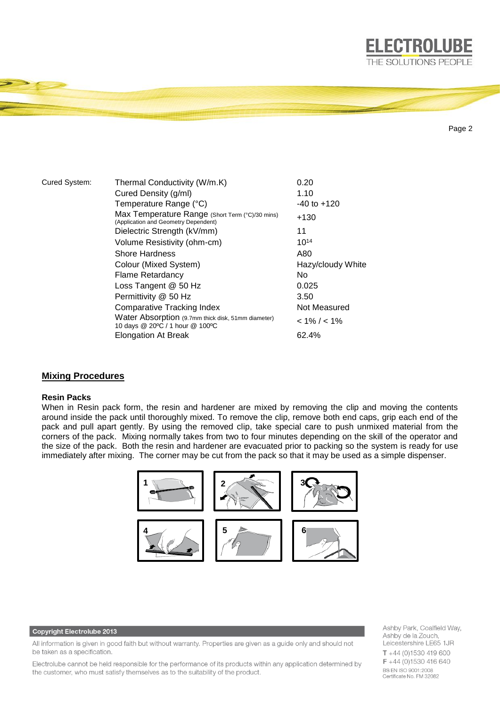

```
Page 2
```
**ELECTROLUBE** THE SOLUTIONS PEOPLE

| Thermal Conductivity (W/m.K)                                                            | 0.20              |
|-----------------------------------------------------------------------------------------|-------------------|
| Cured Density (g/ml)                                                                    | 1.10              |
| Temperature Range (°C)                                                                  | $-40$ to $+120$   |
| Max Temperature Range (Short Term (°C)/30 mins)<br>(Application and Geometry Dependent) | $+130$            |
| Dielectric Strength (kV/mm)                                                             | 11                |
| Volume Resistivity (ohm-cm)                                                             | $10^{14}$         |
| <b>Shore Hardness</b>                                                                   | A80               |
| Colour (Mixed System)                                                                   | Hazy/cloudy White |
| <b>Flame Retardancy</b>                                                                 | No.               |
| Loss Tangent @ 50 Hz                                                                    | 0.025             |
| Permittivity @ 50 Hz                                                                    | 3.50              |
| <b>Comparative Tracking Index</b>                                                       | Not Measured      |
| Water Absorption (9.7mm thick disk, 51mm diameter)<br>10 days @ 20°C / 1 hour @ 100°C   | $< 1\% / < 1\%$   |
| <b>Elongation At Break</b>                                                              | 62.4%             |
|                                                                                         |                   |

## **Mixing Procedures**

#### **Resin Packs**

When in Resin pack form, the resin and hardener are mixed by removing the clip and moving the contents around inside the pack until thoroughly mixed. To remove the clip, remove both end caps, grip each end of the pack and pull apart gently. By using the removed clip, take special care to push unmixed material from the corners of the pack. Mixing normally takes from two to four minutes depending on the skill of the operator and the size of the pack. Both the resin and hardener are evacuated prior to packing so the system is ready for use immediately after mixing. The corner may be cut from the pack so that it may be used as a simple dispenser.



#### **Copyright Electrolube 2013**

All information is given in good faith but without warranty. Properties are given as a guide only and should not be taken as a specification.

Electrolube cannot be held responsible for the performance of its products within any application determined by the customer, who must satisfy themselves as to the suitability of the product.

Ashby Park, Coalfield Way, Ashby de la Zouch, Leicestershire LE65 1JR  $T + 44$  (0)1530 419 600 F +44 (0)1530 416 640 BS EN ISO 9001:2008 Certificate No. FM 32082